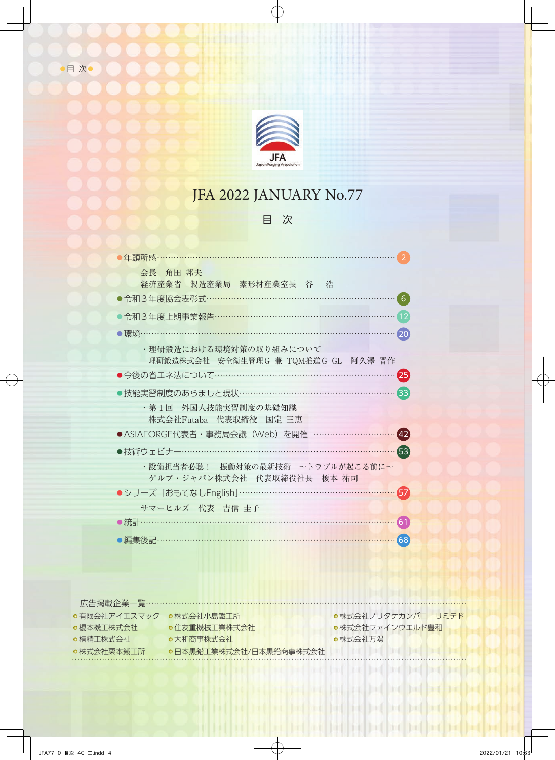

## JFA 2022 JANUARY No.77

## 目 次

| 年頭所感…                                                                                                                      |
|----------------------------------------------------------------------------------------------------------------------------|
| 会長 角田 邦夫<br>経済産業省 製造産業局 素形材産業室長 谷 浩                                                                                        |
| ●令和3年度協会表彰式………………………………………………<br>6                                                                                         |
| ●令和3年度上期事業報告……………………………………………………<br>12                                                                                     |
| [20]<br>・理研鍛造における環境対策の取り組みについて                                                                                             |
| 理研鍛造株式会社 安全衛生管理G 兼 TQM推進G GL 阿久澤 晋作<br>●今後の省エネ法について………………………………………………<br>$\left[25\right]$                                 |
| $\left[33\right]$<br>●技能実習制度のあらましと現状……………………………………                                                                         |
| ・第1回 外国人技能実習制度の基礎知識<br>株式会社Futaba 代表取締役 国定 三恵                                                                              |
| ●ASIAFORGE代表者・事務局会議(Web)を開催 …………<br>(42)                                                                                   |
| ●技術ウェビナー……………………………………………… <mark>……</mark> …<br>63                                                                         |
| ・設備担当者必聴! 振動対策の最新技術 ~トラブルが起こる前に~<br>ゲルブ・ジャパン株式会社 代表取締役社長 榎本 祐司<br>●シリーズ「おもてなしEnglish」……………………………… <mark>………</mark> …<br>57 |
| サマーヒルズ 代表 吉信 圭子                                                                                                            |
| 61                                                                                                                         |
| )編集後記………………………………………………………………<br>68                                                                                        |

| ●有限会社アイエスマック | ●株式会社小鳥鐵工所             | ●株式会社ノリタケカンパニーリミテド |
|--------------|------------------------|--------------------|
| ●榎本機工株式会社    | ●住友重機械工業株式会社           | ●株式会社ファインウエルド豊和    |
| ●楠精工株式会社     | ●大和商事株式会社              | ●株式佘社万陽            |
| ●株式会社栗本鐵工所   | ●日本黒鉛工業株式会社/日本黒鉛商事株式会社 |                    |
|              |                        |                    |